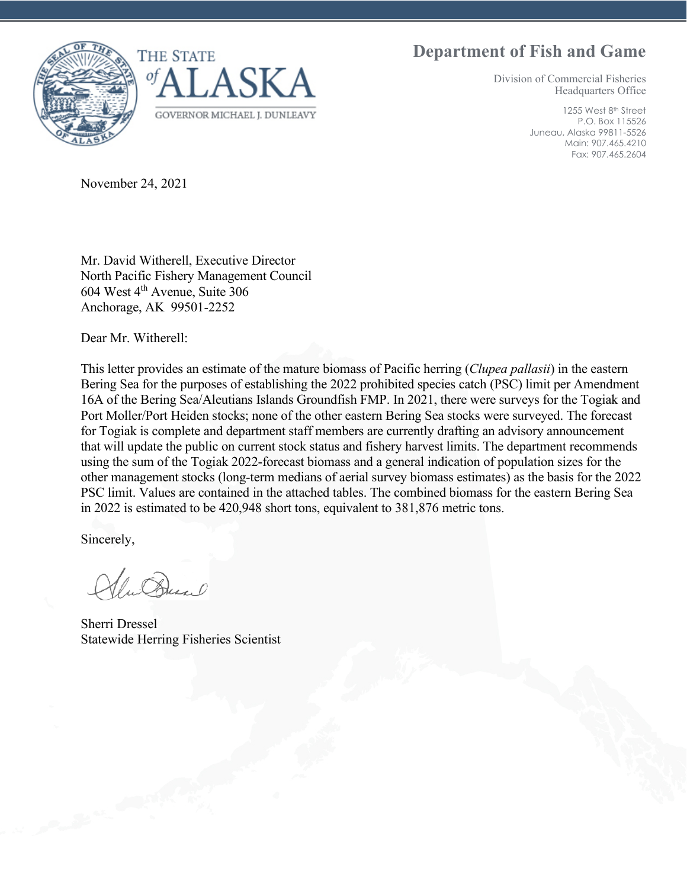## **Department of Fish and Game**





Division of Commercial Fisheries Headquarters Office

> 1255 West 8<sup>th</sup> Street P.O. Box 115526 Juneau, Alaska 99811-5526 Main: 907.465.4210 Fax: 907.465.2604

November 24, 2021

Mr. David Witherell, Executive Director North Pacific Fishery Management Council 604 West 4th Avenue, Suite 306 Anchorage, AK 99501-2252

Dear Mr. Witherell:

This letter provides an estimate of the mature biomass of Pacific herring (*Clupea pallasii*) in the eastern Bering Sea for the purposes of establishing the 2022 prohibited species catch (PSC) limit per Amendment 16A of the Bering Sea/Aleutians Islands Groundfish FMP. In 2021, there were surveys for the Togiak and Port Moller/Port Heiden stocks; none of the other eastern Bering Sea stocks were surveyed. The forecast for Togiak is complete and department staff members are currently drafting an advisory announcement that will update the public on current stock status and fishery harvest limits. The department recommends using the sum of the Togiak 2022-forecast biomass and a general indication of population sizes for the other management stocks (long-term medians of aerial survey biomass estimates) as the basis for the 2022 PSC limit. Values are contained in the attached tables. The combined biomass for the eastern Bering Sea in 2022 is estimated to be 420,948 short tons, equivalent to 381,876 metric tons.

Sincerely,

w Dunal

Sherri Dressel Statewide Herring Fisheries Scientist